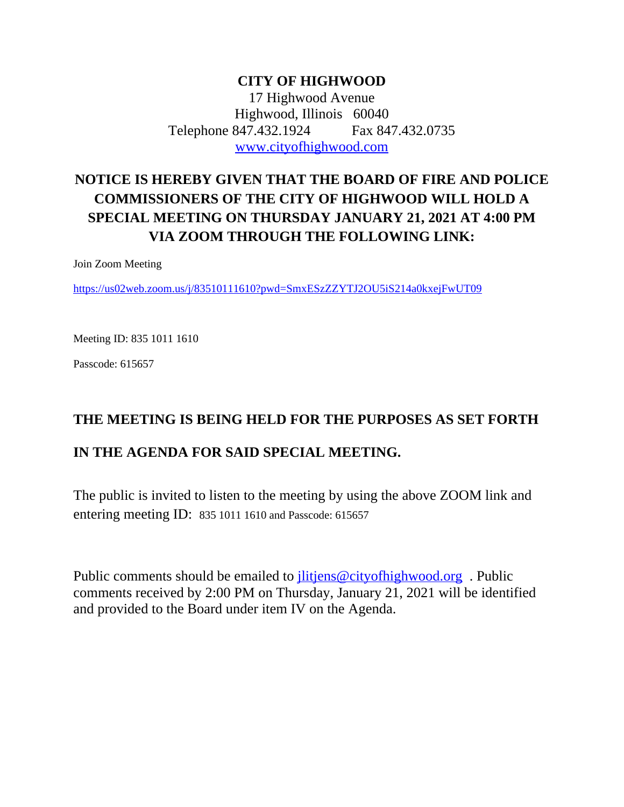### **CITY OF HIGHWOOD** 17 Highwood Avenue Highwood, Illinois 60040 Telephone 847.432.1924 Fax 847.432.0735 [www.cityofhighwood.com](http://www.cityofhighwood.com)

# **NOTICE IS HEREBY GIVEN THAT THE BOARD OF FIRE AND POLICE COMMISSIONERS OF THE CITY OF HIGHWOOD WILL HOLD A SPECIAL MEETING ON THURSDAY JANUARY 21, 2021 AT 4:00 PM VIA ZOOM THROUGH THE FOLLOWING LINK:**

Join Zoom Meeting

<https://us02web.zoom.us/j/83510111610?pwd=SmxESzZZYTJ2OU5iS214a0kxejFwUT09>

Meeting ID: 835 1011 1610

Passcode: 615657

## **THE MEETING IS BEING HELD FOR THE PURPOSES AS SET FORTH**

## **IN THE AGENDA FOR SAID SPECIAL MEETING.**

The public is invited to listen to the meeting by using the above ZOOM link and entering meeting ID: 835 1011 1610 and Passcode: 615657

Public comments should be emailed to <u>jlitjens@cityofhighwood.org</u>. Public comments received by 2:00 PM on Thursday, January 21, 2021 will be identified and provided to the Board under item IV on the Agenda.